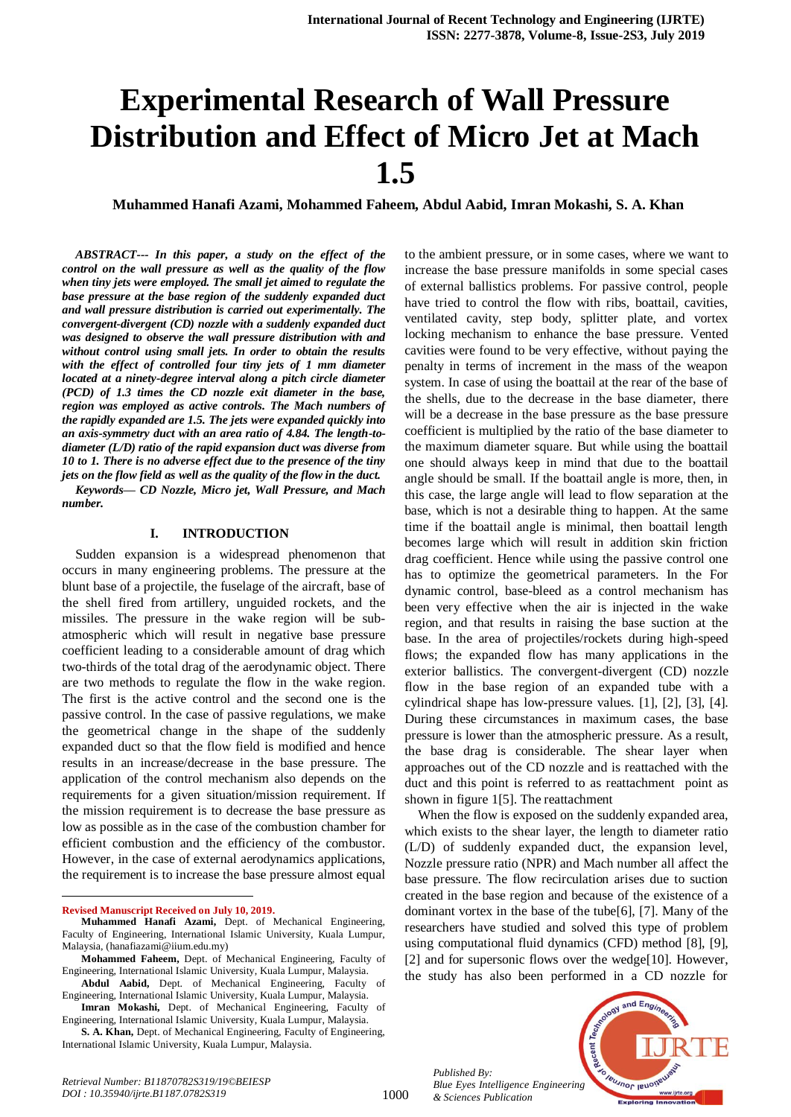# **Experimental Research of Wall Pressure Distribution and Effect of Micro Jet at Mach 1.5**

**Muhammed Hanafi Azami, Mohammed Faheem, Abdul Aabid, Imran Mokashi, S. A. Khan**

*ABSTRACT--- In this paper, a study on the effect of the control on the wall pressure as well as the quality of the flow when tiny jets were employed. The small jet aimed to regulate the base pressure at the base region of the suddenly expanded duct and wall pressure distribution is carried out experimentally. The convergent-divergent (CD) nozzle with a suddenly expanded duct was designed to observe the wall pressure distribution with and without control using small jets. In order to obtain the results with the effect of controlled four tiny jets of 1 mm diameter located at a ninety-degree interval along a pitch circle diameter (PCD) of 1.3 times the CD nozzle exit diameter in the base, region was employed as active controls. The Mach numbers of the rapidly expanded are 1.5. The jets were expanded quickly into an axis-symmetry duct with an area ratio of 4.84. The length-todiameter (L/D) ratio of the rapid expansion duct was diverse from 10 to 1. There is no adverse effect due to the presence of the tiny jets on the flow field as well as the quality of the flow in the duct. Keywords— CD Nozzle, Micro jet, Wall Pressure, and Mach number.*

#### **I. INTRODUCTION**

Sudden expansion is a widespread phenomenon that occurs in many engineering problems. The pressure at the blunt base of a projectile, the fuselage of the aircraft, base of the shell fired from artillery, unguided rockets, and the missiles. The pressure in the wake region will be subatmospheric which will result in negative base pressure coefficient leading to a considerable amount of drag which two-thirds of the total drag of the aerodynamic object. There are two methods to regulate the flow in the wake region. The first is the active control and the second one is the passive control. In the case of passive regulations, we make the geometrical change in the shape of the suddenly expanded duct so that the flow field is modified and hence results in an increase/decrease in the base pressure. The application of the control mechanism also depends on the requirements for a given situation/mission requirement. If the mission requirement is to decrease the base pressure as low as possible as in the case of the combustion chamber for efficient combustion and the efficiency of the combustor. However, in the case of external aerodynamics applications, the requirement is to increase the base pressure almost equal

**Revised Manuscript Received on July 10, 2019.**

 $\overline{a}$ 

**Abdul Aabid,** Dept. of Mechanical Engineering, Faculty of Engineering, International Islamic University, Kuala Lumpur, Malaysia.

to the ambient pressure, or in some cases, where we want to increase the base pressure manifolds in some special cases of external ballistics problems. For passive control, people have tried to control the flow with ribs, boattail, cavities, ventilated cavity, step body, splitter plate, and vortex locking mechanism to enhance the base pressure. Vented cavities were found to be very effective, without paying the penalty in terms of increment in the mass of the weapon system. In case of using the boattail at the rear of the base of the shells, due to the decrease in the base diameter, there will be a decrease in the base pressure as the base pressure coefficient is multiplied by the ratio of the base diameter to the maximum diameter square. But while using the boattail one should always keep in mind that due to the boattail angle should be small. If the boattail angle is more, then, in this case, the large angle will lead to flow separation at the base, which is not a desirable thing to happen. At the same time if the boattail angle is minimal, then boattail length becomes large which will result in addition skin friction drag coefficient. Hence while using the passive control one has to optimize the geometrical parameters. In the For dynamic control, base-bleed as a control mechanism has been very effective when the air is injected in the wake region, and that results in raising the base suction at the base. In the area of projectiles/rockets during high-speed flows; the expanded flow has many applications in the exterior ballistics. The convergent-divergent (CD) nozzle flow in the base region of an expanded tube with a cylindrical shape has low-pressure values. [1], [2], [3], [4]. During these circumstances in maximum cases, the base pressure is lower than the atmospheric pressure. As a result, the base drag is considerable. The shear layer when approaches out of the CD nozzle and is reattached with the duct and this point is referred to as reattachment point as shown in figure 1[5]. The reattachment

When the flow is exposed on the suddenly expanded area, which exists to the shear layer, the length to diameter ratio (L/D) of suddenly expanded duct, the expansion level, Nozzle pressure ratio (NPR) and Mach number all affect the base pressure. The flow recirculation arises due to suction created in the base region and because of the existence of a dominant vortex in the base of the tube[6], [7]. Many of the researchers have studied and solved this type of problem using computational fluid dynamics (CFD) method [8], [9], [2] and for supersonic flows over the wedge[10]. However, the study has also been performed in a CD nozzle for

*Published By: Blue Eyes Intelligence Engineering & Sciences Publication* 



1000

**Muhammed Hanafi Azami,** Dept. of Mechanical Engineering, Faculty of Engineering, International Islamic University, Kuala Lumpur, Malaysia, (hanafiazami@iium.edu.my)

**Mohammed Faheem,** Dept. of Mechanical Engineering, Faculty of Engineering, International Islamic University, Kuala Lumpur, Malaysia.

**Imran Mokashi,** Dept. of Mechanical Engineering, Faculty of Engineering, International Islamic University, Kuala Lumpur, Malaysia.

**S. A. Khan,** Dept. of Mechanical Engineering, Faculty of Engineering, International Islamic University, Kuala Lumpur, Malaysia.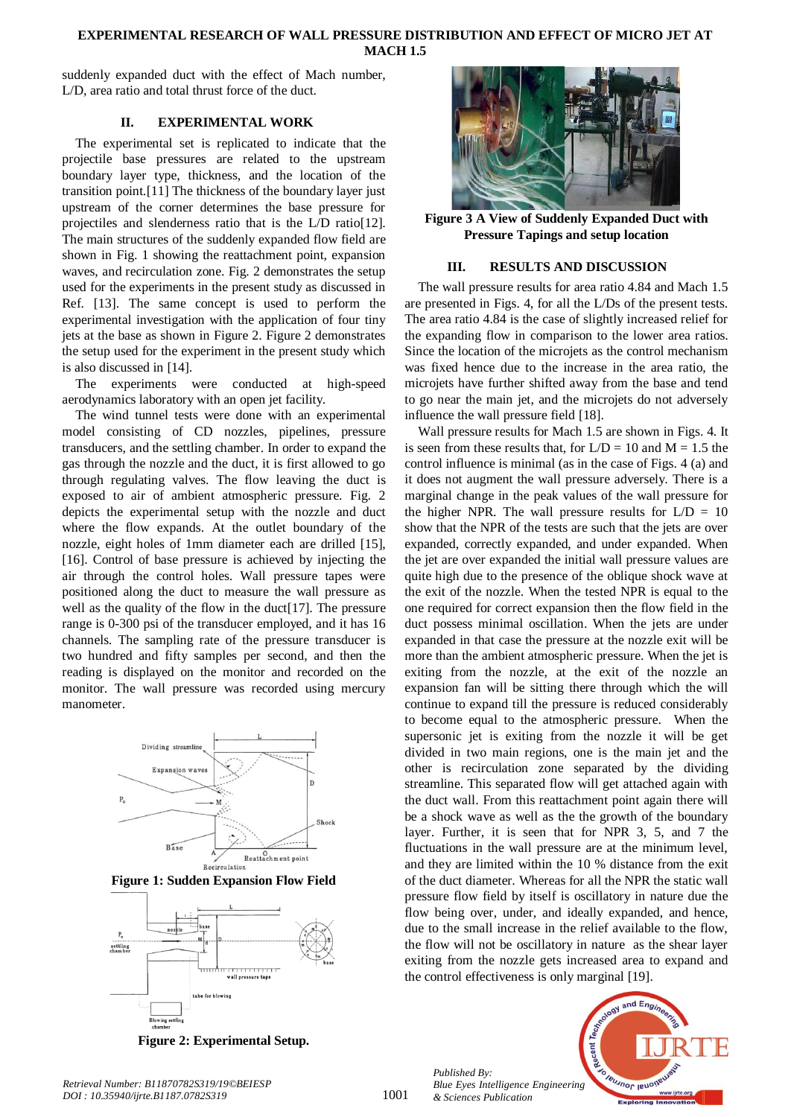## **EXPERIMENTAL RESEARCH OF WALL PRESSURE DISTRIBUTION AND EFFECT OF MICRO JET AT MACH 1.5**

suddenly expanded duct with the effect of Mach number, L/D, area ratio and total thrust force of the duct.

# **II. EXPERIMENTAL WORK**

The experimental set is replicated to indicate that the projectile base pressures are related to the upstream boundary layer type, thickness, and the location of the transition point.[11] The thickness of the boundary layer just upstream of the corner determines the base pressure for projectiles and slenderness ratio that is the L/D ratio[12]. The main structures of the suddenly expanded flow field are shown in Fig. 1 showing the reattachment point, expansion waves, and recirculation zone. Fig. 2 demonstrates the setup used for the experiments in the present study as discussed in Ref. [13]. The same concept is used to perform the experimental investigation with the application of four tiny jets at the base as shown in Figure 2. Figure 2 demonstrates the setup used for the experiment in the present study which is also discussed in [14].

The experiments were conducted at high-speed aerodynamics laboratory with an open jet facility.

The wind tunnel tests were done with an experimental model consisting of CD nozzles, pipelines, pressure transducers, and the settling chamber. In order to expand the gas through the nozzle and the duct, it is first allowed to go through regulating valves. The flow leaving the duct is exposed to air of ambient atmospheric pressure. Fig. 2 depicts the experimental setup with the nozzle and duct where the flow expands. At the outlet boundary of the nozzle, eight holes of 1mm diameter each are drilled [15], [16]. Control of base pressure is achieved by injecting the air through the control holes. Wall pressure tapes were positioned along the duct to measure the wall pressure as well as the quality of the flow in the duct<sup>[17]</sup>. The pressure range is 0-300 psi of the transducer employed, and it has 16 channels. The sampling rate of the pressure transducer is two hundred and fifty samples per second, and then the reading is displayed on the monitor and recorded on the monitor. The wall pressure was recorded using mercury manometer.







**Figure 3 A View of Suddenly Expanded Duct with Pressure Tapings and setup location** 

## **III. RESULTS AND DISCUSSION**

The wall pressure results for area ratio 4.84 and Mach 1.5 are presented in Figs. 4, for all the L/Ds of the present tests. The area ratio 4.84 is the case of slightly increased relief for the expanding flow in comparison to the lower area ratios. Since the location of the microjets as the control mechanism was fixed hence due to the increase in the area ratio, the microjets have further shifted away from the base and tend to go near the main jet, and the microjets do not adversely influence the wall pressure field [18].

Wall pressure results for Mach 1.5 are shown in Figs. 4. It is seen from these results that, for  $L/D = 10$  and  $M = 1.5$  the control influence is minimal (as in the case of Figs. 4 (a) and it does not augment the wall pressure adversely. There is a marginal change in the peak values of the wall pressure for the higher NPR. The wall pressure results for  $L/D = 10$ show that the NPR of the tests are such that the jets are over expanded, correctly expanded, and under expanded. When the jet are over expanded the initial wall pressure values are quite high due to the presence of the oblique shock wave at the exit of the nozzle. When the tested NPR is equal to the one required for correct expansion then the flow field in the duct possess minimal oscillation. When the jets are under expanded in that case the pressure at the nozzle exit will be more than the ambient atmospheric pressure. When the jet is exiting from the nozzle, at the exit of the nozzle an expansion fan will be sitting there through which the will continue to expand till the pressure is reduced considerably to become equal to the atmospheric pressure. When the supersonic jet is exiting from the nozzle it will be get divided in two main regions, one is the main jet and the other is recirculation zone separated by the dividing streamline. This separated flow will get attached again with the duct wall. From this reattachment point again there will be a shock wave as well as the the growth of the boundary layer. Further, it is seen that for NPR 3, 5, and 7 the fluctuations in the wall pressure are at the minimum level, and they are limited within the 10 % distance from the exit of the duct diameter. Whereas for all the NPR the static wall pressure flow field by itself is oscillatory in nature due the flow being over, under, and ideally expanded, and hence, due to the small increase in the relief available to the flow, the flow will not be oscillatory in nature as the shear layer exiting from the nozzle gets increased area to expand and the control effectiveness is only marginal [19].

*Published By: Blue Eyes Intelligence Engineering & Sciences Publication* 



*Retrieval Number: B11870782S319/19©BEIESP DOI : 10.35940/ijrte.B1187.0782S319*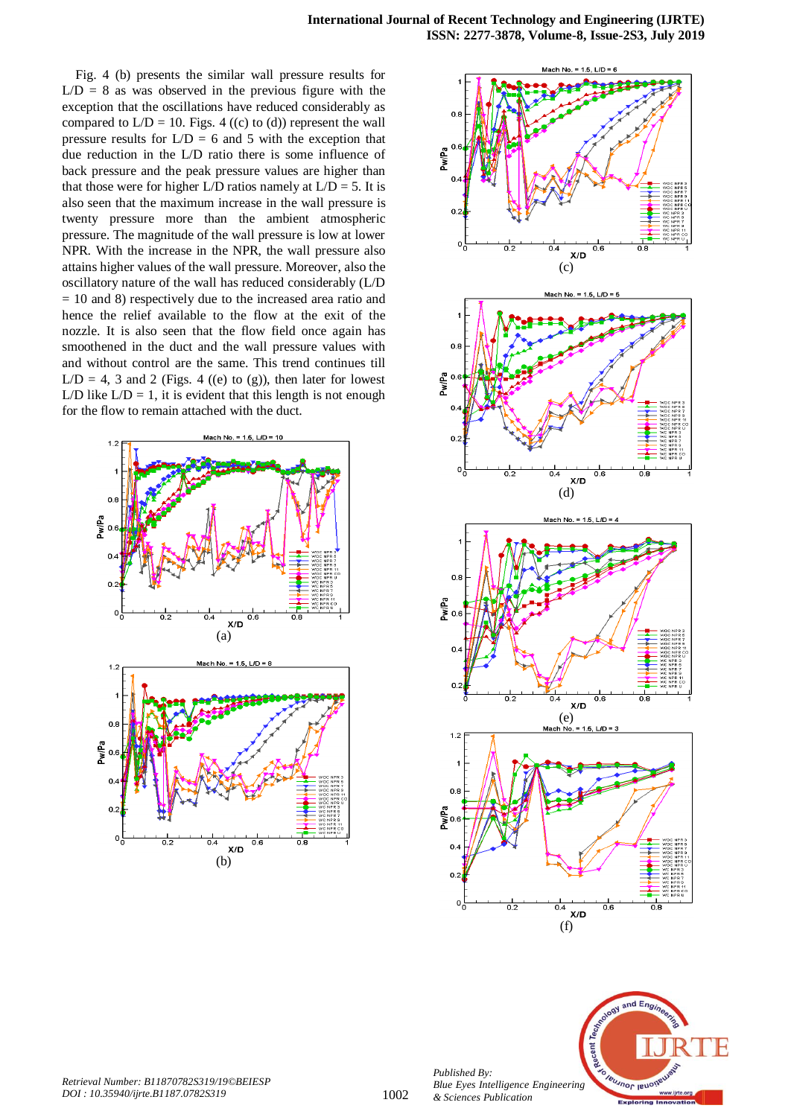Fig. 4 (b) presents the similar wall pressure results for  $L/D = 8$  as was observed in the previous figure with the exception that the oscillations have reduced considerably as compared to  $L/D = 10$ . Figs. 4 ((c) to (d)) represent the wall pressure results for  $L/D = 6$  and 5 with the exception that due reduction in the L/D ratio there is some influence of back pressure and the peak pressure values are higher than that those were for higher L/D ratios namely at  $L/D = 5$ . It is also seen that the maximum increase in the wall pressure is twenty pressure more than the ambient atmospheric pressure. The magnitude of the wall pressure is low at lower NPR. With the increase in the NPR, the wall pressure also attains higher values of the wall pressure. Moreover, also the oscillatory nature of the wall has reduced considerably (L/D = 10 and 8) respectively due to the increased area ratio and hence the relief available to the flow at the exit of the nozzle. It is also seen that the flow field once again has smoothened in the duct and the wall pressure values with and without control are the same. This trend continues till  $L/D = 4$ , 3 and 2 (Figs. 4 ((e) to (g)), then later for lowest L/D like  $L/D = 1$ , it is evident that this length is not enough for the flow to remain attached with the duct.







*Published By:*

*& Sciences Publication*